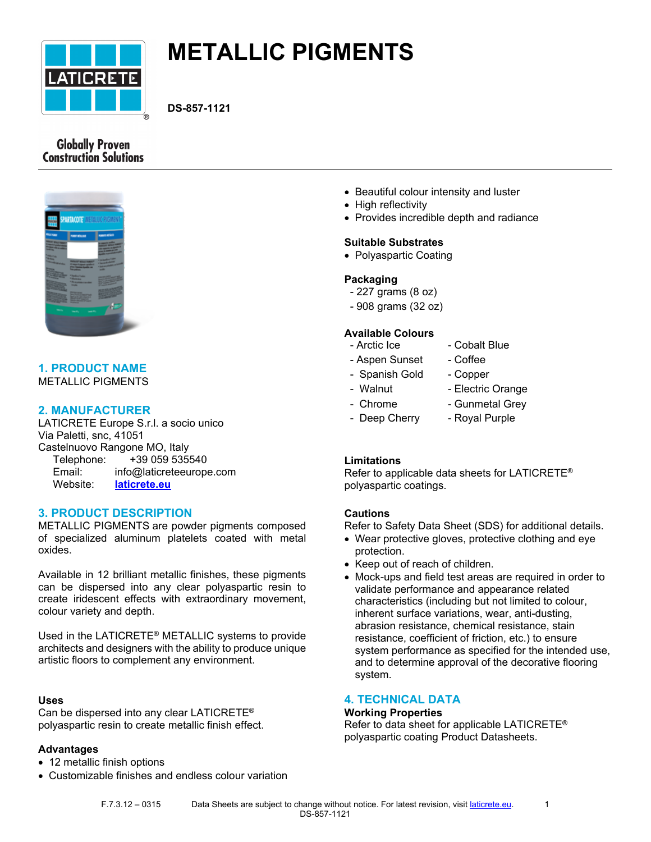

# **METALLIC PIGMENTS**

**DS-857-1121**

# **Globally Proven Construction Solutions**



# **1. PRODUCT NAME** METALLIC PIGMENTS

# **2. MANUFACTURER**

LATICRETE Europe S.r.l. a socio unico Via Paletti, snc, 41051 Castelnuovo Rangone MO, Italy Telephone: +39 059 535540 Email: info@laticreteeurope.com Website: **[laticrete.eu](http://www.laticrete.eu/)**

# **3. PRODUCT DESCRIPTION**

METALLIC PIGMENTS are powder pigments composed of specialized aluminum platelets coated with metal oxides.

Available in 12 brilliant metallic finishes, these pigments can be dispersed into any clear polyaspartic resin to create iridescent effects with extraordinary movement, colour variety and depth.

Used in the LATICRETE® [METALLIC systems](file:///C:/inetpub/wwwroot/LATICRETEAUTHORING/Website/ui/data/DatasheetTemplates/~/link.aspx%3F_id=863986D9D8BD417180C1D134F3C1CEAF&_z=z) to provide architects and designers with the ability to produce unique artistic floors to complement any environment.

# **Uses**

Can be dispersed into any clear LATICRETE® polyaspartic resin to create metallic finish effect.

# **Advantages**

- 12 metallic finish options
- Customizable finishes and endless colour variation
- Beautiful colour intensity and luster
- High reflectivity
- Provides incredible depth and radiance

# **Suitable Substrates**

• Polyaspartic Coating

# **Packaging**

- 227 grams (8 oz)
- 908 grams (32 oz)

# **Available Colours**

- Arctic Ice Cobalt Blue
- Aspen Sunset Coffee
- Spanish Gold Copper
- Walnut Electric Orange
- 
- Chrome Gunmetal Grey
- Deep Cherry Royal Purple
	-

# **Limitations**

Refer to applicable data sheets for LATICRETE® polyaspartic coatings.

#### **Cautions**

Refer to Safety Data Sheet (SDS) for additional details.

- Wear protective gloves, protective clothing and eye protection.
- Keep out of reach of children.
- Mock-ups and field test areas are required in order to validate performance and appearance related characteristics (including but not limited to colour, inherent surface variations, wear, anti-dusting, abrasion resistance, chemical resistance, stain resistance, coefficient of friction, etc.) to ensure system performance as specified for the intended use, and to determine approval of the decorative flooring system.

# **4. TECHNICAL DATA**

## **Working Properties**

Refer to data sheet for applicable LATICRETE® polyaspartic coating Product Datasheets.